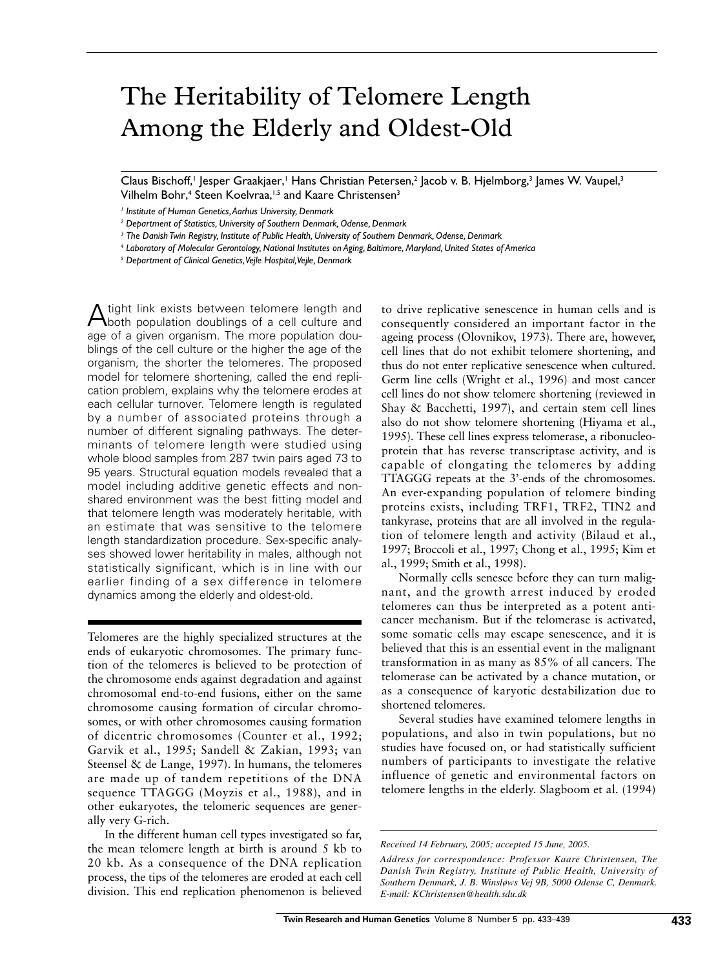# The Heritability of Telomere Length Among the Elderly and Oldest-Old

Claus Bischoff, | Jesper Graakjaer, | Hans Christian Petersen, 2 Jacob v. B. Hjelmborg, 3 James W. Vaupel, 3 Vilhelm Bohr,<sup>4</sup> Steen Koelvraa,<sup>1,5</sup> and Kaare Christensen<sup>3</sup>

<sup>1</sup> Institute of Human Genetics, Aarhus University, Denmark

<sup>2</sup> Department of Statistics, University of Southern Denmark, Odense, Denmark

<sup>3</sup> The Danish Twin Registry, Institute of Public Health, University of Southern Denmark, Odense, Denmark

<sup>4</sup> Laboratory of Molecular Gerontology, National Institutes on Aging, Baltimore, Maryland, United States of America

<sup>5</sup> Department of Clinical Genetics, Vejle Hospital, Vejle, Denmark

tight link exists between telomere length and A ugue mix population doublings of a cell culture and age of a given organism. The more population doublings of the cell culture or the higher the age of the organism, the shorter the telomeres. The proposed model for telomere shortening, called the end replication problem, explains why the telomere erodes at each cellular turnover. Telomere length is regulated by a number of associated proteins through a number of different signaling pathways. The determinants of telomere length were studied using whole blood samples from 287 twin pairs aged 73 to 95 years. Structural equation models revealed that a model including additive genetic effects and nonshared environment was the best fitting model and that telomere length was moderately heritable, with an estimate that was sensitive to the telomere length standardization procedure. Sex-specific analyses showed lower heritability in males, although not statistically significant, which is in line with our earlier finding of a sex difference in telomere dynamics among the elderly and oldest-old.

Telomeres are the highly specialized structures at the ends of eukaryotic chromosomes. The primary function of the telomeres is believed to be protection of the chromosome ends against degradation and against chromosomal end-to-end fusions, either on the same chromosome causing formation of circular chromosomes, or with other chromosomes causing formation of dicentric chromosomes (Counter et al., 1992; Garvik et al., 1995; Sandell & Zakian, 1993; van Steensel & de Lange, 1997). In humans, the telomeres are made up of tandem repetitions of the DNA sequence TTAGGG (Moyzis et al., 1988), and in other eukaryotes, the telomeric sequences are generally very G-rich.

In the different human cell types investigated so far, the mean telomere length at birth is around 5 kb to 20 kb. As a consequence of the DNA replication process, the tips of the telomeres are eroded at each cell division. This end replication phenomenon is believed

to drive replicative senescence in human cells and is consequently considered an important factor in the ageing process (Olovnikov, 1973). There are, however, cell lines that do not exhibit telomere shortening, and thus do not enter replicative senescence when cultured. Germ line cells (Wright et al., 1996) and most cancer cell lines do not show telomere shortening (reviewed in Shay & Bacchetti, 1997), and certain stem cell lines also do not show telomere shortening (Hiyama et al., 1995). These cell lines express telomerase, a ribonucleoprotein that has reverse transcriptase activity, and is capable of elongating the telomeres by adding TTAGGG repeats at the 3'-ends of the chromosomes. An ever-expanding population of telomere binding proteins exists, including TRF1, TRF2, TIN2 and tankyrase, proteins that are all involved in the regulation of telomere length and activity (Bilaud et al., 1997; Broccoli et al., 1997; Chong et al., 1995; Kim et al., 1999; Smith et al., 1998).

Normally cells senesce before they can turn malignant, and the growth arrest induced by eroded telomeres can thus be interpreted as a potent anticancer mechanism. But if the telomerase is activated, some somatic cells may escape senescence, and it is believed that this is an essential event in the malignant transformation in as many as 85% of all cancers. The telomerase can be activated by a chance mutation, or as a consequence of karyotic destabilization due to shortened telomeres.

Several studies have examined telomere lengths in populations, and also in twin populations, but no studies have focused on, or had statistically sufficient numbers of participants to investigate the relative influence of genetic and environmental factors on telomere lengths in the elderly. Slagboom et al. (1994)

Received 14 February, 2005; accepted 15 June, 2005.

Address for correspondence: Professor Kaare Christensen, The Danish Twin Registry, Institute of Public Health, University of Southern Denmark, J. B. Winsløws Vej 9B, 5000 Odense C, Denmark. E-mail: KChristensen@health.sdu.dk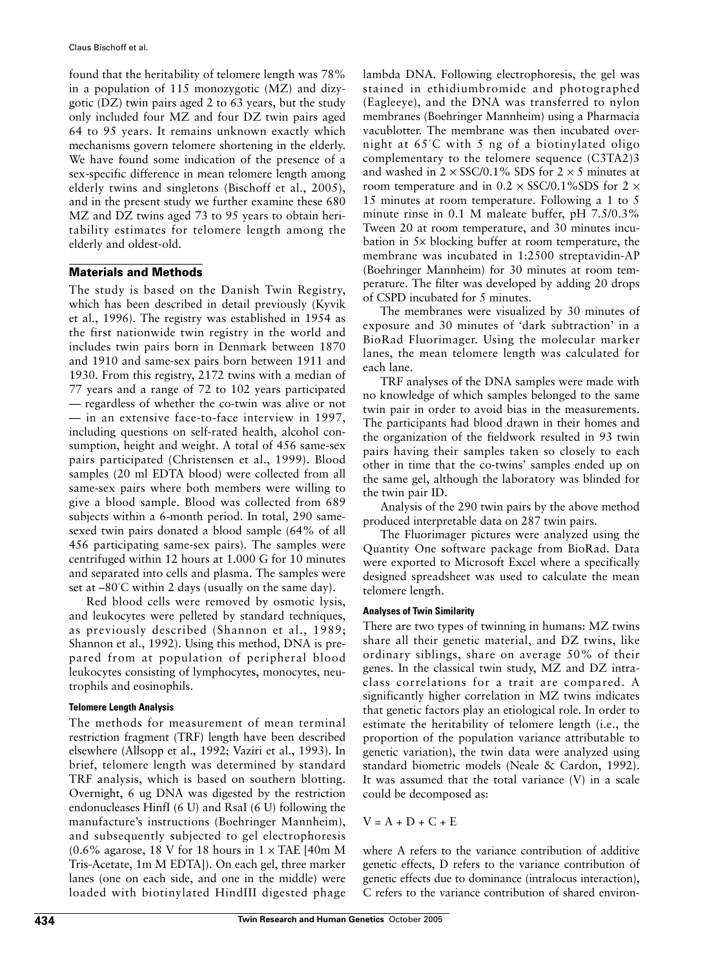found that the heritability of telomere length was 78% in a population of 115 monozygotic (MZ) and dizygotic (DZ) twin pairs aged 2 to 63 years, but the study only included four MZ and four DZ twin pairs aged 64 to 95 years. It remains unknown exactly which mechanisms govern telomere shortening in the elderly. We have found some indication of the presence of a sex-specific difference in mean telomere length among elderly twins and singletons (Bischoff et al., 2005), and in the present study we further examine these 680 MZ and DZ twins aged 73 to 95 years to obtain heritability estimates for telomere length among the elderly and oldest-old.

## **Materials and Methods**

The study is based on the Danish Twin Registry, which has been described in detail previously (Kyvik et al., 1996). The registry was established in 1954 as the first nationwide twin registry in the world and includes twin pairs born in Denmark between 1870 and 1910 and same-sex pairs born between 1911 and 1930. From this registry, 2172 twins with a median of 77 years and a range of 72 to 102 years participated - regardless of whether the co-twin was alive or not - in an extensive face-to-face interview in 1997, including questions on self-rated health, alcohol consumption, height and weight. A total of 456 same-sex pairs participated (Christensen et al., 1999). Blood samples (20 ml EDTA blood) were collected from all same-sex pairs where both members were willing to give a blood sample. Blood was collected from 689 subjects within a 6-month period. In total, 290 samesexed twin pairs donated a blood sample (64% of all 456 participating same-sex pairs). The samples were centrifuged within 12 hours at 1.000 G for 10 minutes and separated into cells and plasma. The samples were set at  $-80^{\circ}$ C within 2 days (usually on the same day).

Red blood cells were removed by osmotic lysis, and leukocytes were pelleted by standard techniques, as previously described (Shannon et al., 1989; Shannon et al., 1992). Using this method, DNA is prepared from at population of peripheral blood leukocytes consisting of lymphocytes, monocytes, neutrophils and eosinophils.

### **Telomere Length Analysis**

The methods for measurement of mean terminal restriction fragment (TRF) length have been described elsewhere (Allsopp et al., 1992; Vaziri et al., 1993). In brief, telomere length was determined by standard TRF analysis, which is based on southern blotting. Overnight, 6 ug DNA was digested by the restriction endonucleases HinfI (6 U) and RsaI (6 U) following the manufacture's instructions (Boehringer Mannheim), and subsequently subjected to gel electrophoresis (0.6% agarose, 18 V for 18 hours in  $1 \times$  TAE [40m M Tris-Acetate, 1m M EDTA]). On each gel, three marker lanes (one on each side, and one in the middle) were loaded with biotinylated HindIII digested phage

lambda DNA. Following electrophoresis, the gel was stained in ethidiumbromide and photographed (Eagleeye), and the DNA was transferred to nylon membranes (Boehringer Mannheim) using a Pharmacia vacublotter. The membrane was then incubated overnight at  $65^{\circ}$ C with 5 ng of a biotinylated oligo complementary to the telomere sequence (C3TA2)3 and washed in 2  $\times$  SSC/0.1% SDS for 2  $\times$  5 minutes at room temperature and in  $0.2 \times$  SSC/0.1%SDS for 2  $\times$ 15 minutes at room temperature. Following a 1 to 5 minute rinse in 0.1 M maleate buffer, pH 7.5/0.3% Tween 20 at room temperature, and 30 minutes incubation in 5× blocking buffer at room temperature, the membrane was incubated in 1:2500 streptavidin-AP (Boehringer Mannheim) for 30 minutes at room temperature. The filter was developed by adding 20 drops of CSPD incubated for 5 minutes.

The membranes were visualized by 30 minutes of exposure and 30 minutes of 'dark subtraction' in a BioRad Fluorimager. Using the molecular marker lanes, the mean telomere length was calculated for each lane.

TRF analyses of the DNA samples were made with no knowledge of which samples belonged to the same twin pair in order to avoid bias in the measurements. The participants had blood drawn in their homes and the organization of the fieldwork resulted in 93 twin pairs having their samples taken so closely to each other in time that the co-twins' samples ended up on the same gel, although the laboratory was blinded for the twin pair ID.

Analysis of the 290 twin pairs by the above method produced interpretable data on 287 twin pairs.

The Fluorimager pictures were analyzed using the Quantity One software package from BioRad. Data were exported to Microsoft Excel where a specifically designed spreadsheet was used to calculate the mean telomere length.

### **Analyses of Twin Similarity**

There are two types of twinning in humans: MZ twins share all their genetic material, and DZ twins, like ordinary siblings, share on average 50% of their genes. In the classical twin study, MZ and DZ intraclass correlations for a trait are compared. A significantly higher correlation in MZ twins indicates that genetic factors play an etiological role. In order to estimate the heritability of telomere length (i.e., the proportion of the population variance attributable to genetic variation), the twin data were analyzed using standard biometric models (Neale & Cardon, 1992). It was assumed that the total variance (V) in a scale could be decomposed as:

$$
\mathrm{V}=\mathrm{A}+\mathrm{D}+\mathrm{C}+\mathrm{E}
$$

where A refers to the variance contribution of additive genetic effects, D refers to the variance contribution of genetic effects due to dominance (intralocus interaction), C refers to the variance contribution of shared environ-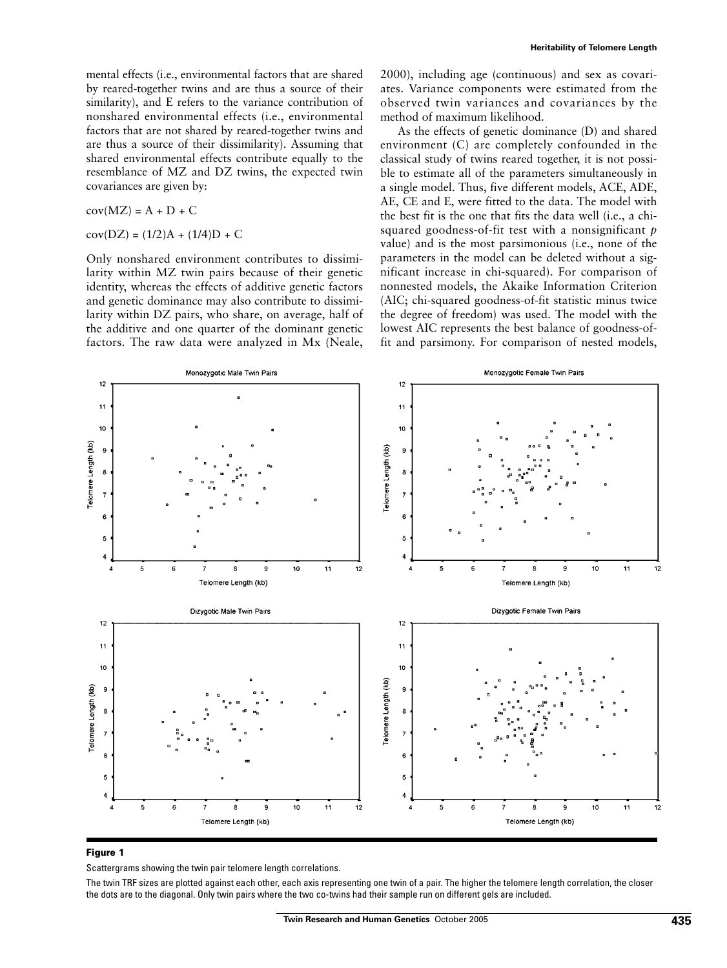$$
cov(MZ) = A + D + C
$$

 $cov(DZ) = (1/2)A + (1/4)D + C$ 

Only nonshared environment contributes to dissimilarity within MZ twin pairs because of their genetic identity, whereas the effects of additive genetic factors and genetic dominance may also contribute to dissimilarity within DZ pairs, who share, on average, half of the additive and one quarter of the dominant genetic factors. The raw data were analyzed in Mx (Neale,

2000), including age (continuous) and sex as covariates. Variance components were estimated from the observed twin variances and covariances by the method of maximum likelihood.

As the effects of genetic dominance (D) and shared environment (C) are completely confounded in the classical study of twins reared together, it is not possible to estimate all of the parameters simultaneously in a single model. Thus, five different models, ACE, ADE, AE, CE and E, were fitted to the data. The model with the best fit is the one that fits the data well (i.e., a chisquared goodness-of-fit test with a nonsignificant  $p$ value) and is the most parsimonious (i.e., none of the parameters in the model can be deleted without a significant increase in chi-squared). For comparison of nonnested models, the Akaike Information Criterion (AIC; chi-squared goodness-of-fit statistic minus twice the degree of freedom) was used. The model with the lowest AIC represents the best balance of goodness-offit and parsimony. For comparison of nested models,



#### Figure 1

Scattergrams showing the twin pair telomere length correlations.

The twin TRF sizes are plotted against each other, each axis representing one twin of a pair. The higher the telomere length correlation, the closer the dots are to the diagonal. Only twin pairs where the two co-twins had their sample run on different gels are included.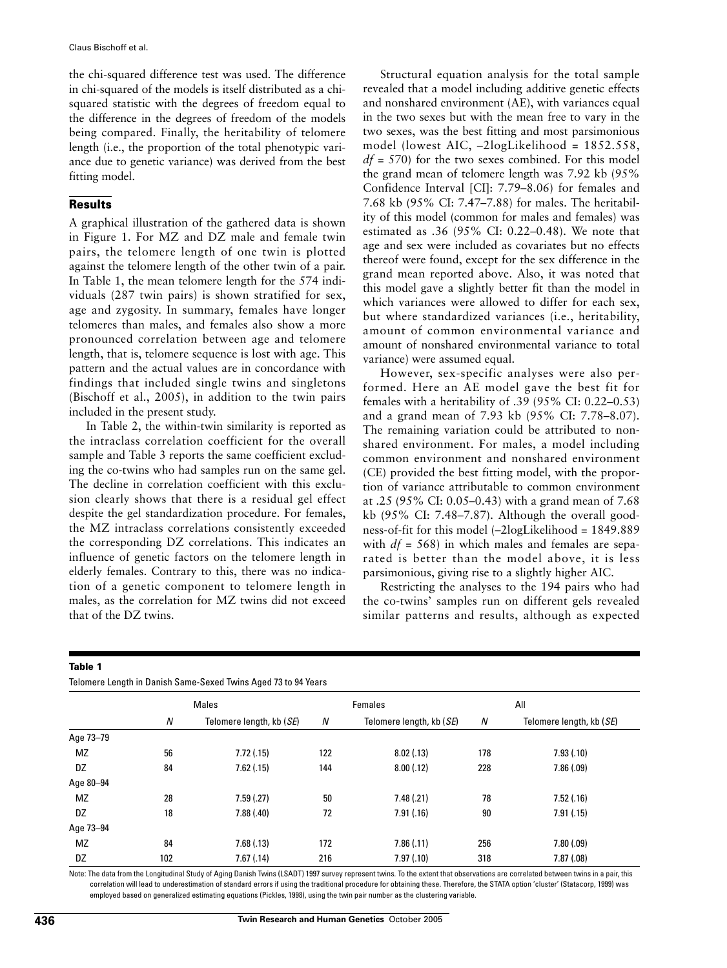the chi-squared difference test was used. The difference in chi-squared of the models is itself distributed as a chisquared statistic with the degrees of freedom equal to the difference in the degrees of freedom of the models being compared. Finally, the heritability of telomere length (i.e., the proportion of the total phenotypic variance due to genetic variance) was derived from the best fitting model.

## **Results**

A graphical illustration of the gathered data is shown in Figure 1. For MZ and DZ male and female twin pairs, the telomere length of one twin is plotted against the telomere length of the other twin of a pair. In Table 1, the mean telomere length for the 574 individuals (287 twin pairs) is shown stratified for sex, age and zygosity. In summary, females have longer telomeres than males, and females also show a more pronounced correlation between age and telomere length, that is, telomere sequence is lost with age. This pattern and the actual values are in concordance with findings that included single twins and singletons (Bischoff et al., 2005), in addition to the twin pairs included in the present study.

In Table 2, the within-twin similarity is reported as the intraclass correlation coefficient for the overall sample and Table 3 reports the same coefficient excluding the co-twins who had samples run on the same gel. The decline in correlation coefficient with this exclusion clearly shows that there is a residual gel effect despite the gel standardization procedure. For females, the MZ intraclass correlations consistently exceeded the corresponding DZ correlations. This indicates an influence of genetic factors on the telomere length in elderly females. Contrary to this, there was no indication of a genetic component to telomere length in males, as the correlation for MZ twins did not exceed that of the DZ twins.

Structural equation analysis for the total sample revealed that a model including additive genetic effects and nonshared environment (AE), with variances equal in the two sexes but with the mean free to vary in the two sexes, was the best fitting and most parsimonious model (lowest AIC,  $-2$ logLikelihood = 1852.558,  $df = 570$ ) for the two sexes combined. For this model the grand mean of telomere length was 7.92 kb (95% Confidence Interval [CI]: 7.79–8.06) for females and 7.68 kb (95% CI: 7.47–7.88) for males. The heritability of this model (common for males and females) was estimated as .36 (95% CI: 0.22-0.48). We note that age and sex were included as covariates but no effects thereof were found, except for the sex difference in the grand mean reported above. Also, it was noted that this model gave a slightly better fit than the model in which variances were allowed to differ for each sex, but where standardized variances (i.e., heritability, amount of common environmental variance and amount of nonshared environmental variance to total variance) were assumed equal.

However, sex-specific analyses were also performed. Here an AE model gave the best fit for females with a heritability of .39 (95% CI: 0.22-0.53) and a grand mean of 7.93 kb (95% CI: 7.78-8.07). The remaining variation could be attributed to nonshared environment. For males, a model including common environment and nonshared environment (CE) provided the best fitting model, with the proportion of variance attributable to common environment at .25 (95% CI: 0.05–0.43) with a grand mean of 7.68 kb  $(95\% \text{ CI: } 7.48-7.87)$ . Although the overall goodness-of-fit for this model (-2logLikelihood = 1849.889 with  $df = 568$ ) in which males and females are separated is better than the model above, it is less parsimonious, giving rise to a slightly higher AIC.

Restricting the analyses to the 194 pairs who had the co-twins' samples run on different gels revealed similar patterns and results, although as expected

#### Table 1

Telomere Length in Danish Same-Sexed Twins Aged 73 to 94 Years

|           | Males |                          | Females |                                   | All |                          |  |
|-----------|-------|--------------------------|---------|-----------------------------------|-----|--------------------------|--|
|           | N     | Telomere length, kb (SE) | N       | Telomere length, kb ( <i>SE</i> ) | Ν   | Telomere length, kb (SE) |  |
| Age 73-79 |       |                          |         |                                   |     |                          |  |
| <b>MZ</b> | 56    | 7.72(.15)                | 122     | 8.02(.13)                         | 178 | 7.93(0.10)               |  |
| DZ        | 84    | 7.62(.15)                | 144     | 8.00(.12)                         | 228 | 7.86(.09)                |  |
| Age 80-94 |       |                          |         |                                   |     |                          |  |
| MZ        | 28    | 7.59(.27)                | 50      | 7.48(.21)                         | 78  | 7.52(.16)                |  |
| DZ        | 18    | 7.88(.40)                | 72      | 7.91(.16)                         | 90  | 7.91(.15)                |  |
| Age 73-94 |       |                          |         |                                   |     |                          |  |
| MZ        | 84    | 7.68(.13)                | 172     | 7.86(.11)                         | 256 | 7.80(.09)                |  |
| DZ        | 102   | 7.67(.14)                | 216     | 7.97(0.10)                        | 318 | 7.87(.08)                |  |

Note: The data from the Longitudinal Study of Aging Danish Twins (LSADT) 1997 survey represent twins. To the extent that observations are correlated between twins in a pair, this correlation will lead to underestimation of standard errors if using the traditional procedure for obtaining these. Therefore, the STATA option 'cluster' (Statacorp, 1999) was employed based on generalized estimating equations (Pickles, 1998), using the twin pair number as the clustering variable.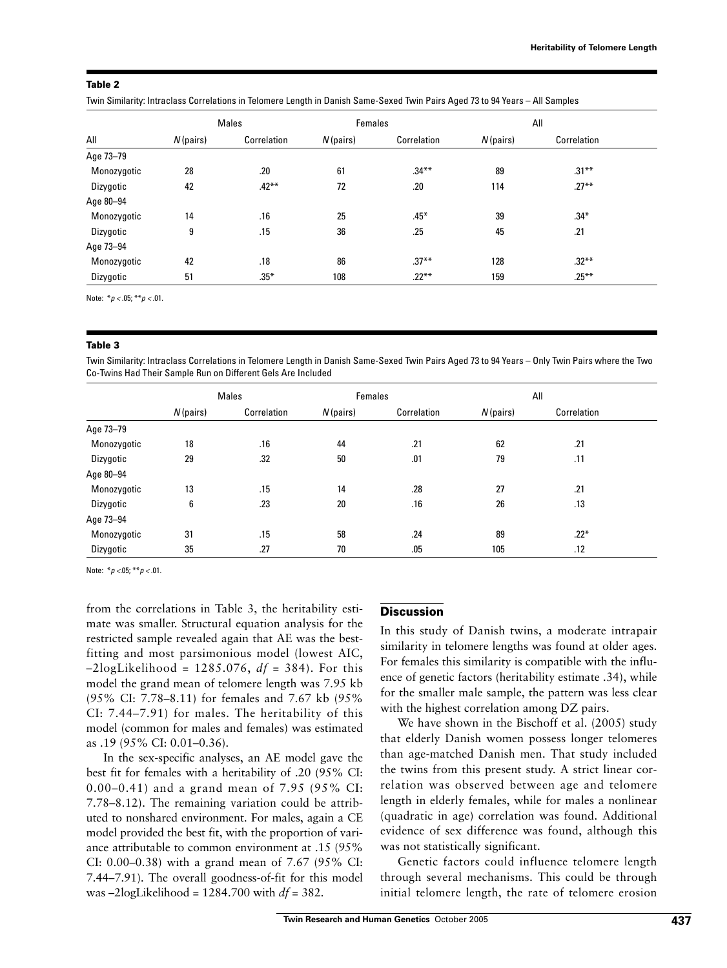#### Table 2

Twin Similarity: Intraclass Correlations in Telomere Length in Danish Same-Sexed Twin Pairs Aged 73 to 94 Years - All Samples

| All         | <b>Males</b> |             | Females     |             | All         |             |
|-------------|--------------|-------------|-------------|-------------|-------------|-------------|
|             | $N$ (pairs)  | Correlation | $N$ (pairs) | Correlation | $N$ (pairs) | Correlation |
| Age 73-79   |              |             |             |             |             |             |
| Monozygotic | 28           | .20         | 61          | $.34***$    | 89          | $.31***$    |
| Dizygotic   | 42           | $.42***$    | 72          | .20         | 114         | $.27***$    |
| Age 80-94   |              |             |             |             |             |             |
| Monozygotic | 14           | .16         | 25          | $.45*$      | 39          | $.34*$      |
| Dizygotic   | 9            | .15         | 36          | .25         | 45          | .21         |
| Age 73-94   |              |             |             |             |             |             |
| Monozygotic | 42           | .18         | 86          | $.37***$    | 128         | $.32***$    |
| Dizygotic   | 51           | $.35*$      | 108         | $.22***$    | 159         | $.25***$    |

Note:  $* p < .05; ** p < .01$ .

#### Table 3

Twin Similarity: Intraclass Correlations in Telomere Length in Danish Same-Sexed Twin Pairs Aged 73 to 94 Years - Only Twin Pairs where the Two Co-Twins Had Their Sample Run on Different Gels Are Included

|             | Males       |             | Females     |             | All         |             |
|-------------|-------------|-------------|-------------|-------------|-------------|-------------|
|             | $N$ (pairs) | Correlation | $N$ (pairs) | Correlation | $N$ (pairs) | Correlation |
| Age 73-79   |             |             |             |             |             |             |
| Monozygotic | 18          | .16         | 44          | .21         | 62          | .21         |
| Dizygotic   | 29          | .32         | 50          | .01         | 79          | .11         |
| Age 80-94   |             |             |             |             |             |             |
| Monozygotic | 13          | .15         | 14          | .28         | 27          | .21         |
| Dizygotic   | 6           | .23         | 20          | .16         | 26          | .13         |
| Age 73-94   |             |             |             |             |             |             |
| Monozygotic | 31          | .15         | 58          | .24         | 89          | $.22*$      |
| Dizygotic   | 35          | .27         | 70          | .05         | 105         | .12         |

Note:  $* p < 05; ** p < 01$ .

from the correlations in Table 3, the heritability estimate was smaller. Structural equation analysis for the restricted sample revealed again that AE was the bestfitting and most parsimonious model (lowest AIC,  $-2\log Likelihood = 1285.076$ ,  $df = 384$ ). For this model the grand mean of telomere length was 7.95 kb (95% CI: 7.78–8.11) for females and 7.67 kb (95%) CI: 7.44–7.91) for males. The heritability of this model (common for males and females) was estimated as .19 (95% CI: 0.01–0.36).

In the sex-specific analyses, an AE model gave the best fit for females with a heritability of .20 (95% CI: 0.00–0.41) and a grand mean of 7.95 (95% CI: 7.78-8.12). The remaining variation could be attributed to nonshared environment. For males, again a CE model provided the best fit, with the proportion of variance attributable to common environment at .15 (95%) CI: 0.00–0.38) with a grand mean of 7.67 (95% CI: 7.44–7.91). The overall goodness-of-fit for this model was -2logLikelihood =  $1284.700$  with  $df = 382$ .

#### **Discussion**

In this study of Danish twins, a moderate intrapair similarity in telomere lengths was found at older ages. For females this similarity is compatible with the influence of genetic factors (heritability estimate .34), while for the smaller male sample, the pattern was less clear with the highest correlation among DZ pairs.

We have shown in the Bischoff et al. (2005) study that elderly Danish women possess longer telomeres than age-matched Danish men. That study included the twins from this present study. A strict linear correlation was observed between age and telomere length in elderly females, while for males a nonlinear (quadratic in age) correlation was found. Additional evidence of sex difference was found, although this was not statistically significant.

Genetic factors could influence telomere length through several mechanisms. This could be through initial telomere length, the rate of telomere erosion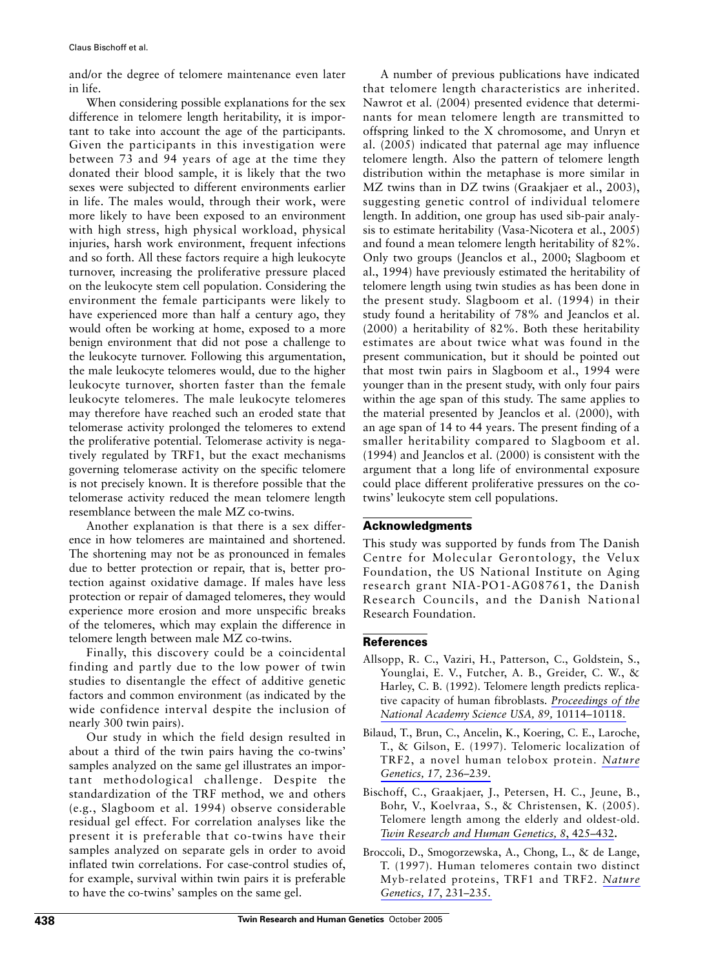and/or the degree of telomere maintenance even later in life.

When considering possible explanations for the sex difference in telomere length heritability, it is important to take into account the age of the participants. Given the participants in this investigation were between 73 and 94 years of age at the time they donated their blood sample, it is likely that the two sexes were subjected to different environments earlier in life. The males would, through their work, were more likely to have been exposed to an environment with high stress, high physical workload, physical injuries, harsh work environment, frequent infections and so forth. All these factors require a high leukocyte turnover, increasing the proliferative pressure placed on the leukocyte stem cell population. Considering the environment the female participants were likely to have experienced more than half a century ago, they would often be working at home, exposed to a more benign environment that did not pose a challenge to the leukocyte turnover. Following this argumentation, the male leukocyte telomeres would, due to the higher leukocyte turnover, shorten faster than the female leukocyte telomeres. The male leukocyte telomeres may therefore have reached such an eroded state that telomerase activity prolonged the telomeres to extend the proliferative potential. Telomerase activity is negatively regulated by TRF1, but the exact mechanisms governing telomerase activity on the specific telomere is not precisely known. It is therefore possible that the telomerase activity reduced the mean telomere length resemblance between the male MZ co-twins.

Another explanation is that there is a sex difference in how telomeres are maintained and shortened. The shortening may not be as pronounced in females due to better protection or repair, that is, better protection against oxidative damage. If males have less protection or repair of damaged telomeres, they would experience more erosion and more unspecific breaks of the telomeres, which may explain the difference in telomere length between male MZ co-twins.

Finally, this discovery could be a coincidental finding and partly due to the low power of twin studies to disentangle the effect of additive genetic factors and common environment (as indicated by the wide confidence interval despite the inclusion of nearly 300 twin pairs).

Our study in which the field design resulted in about a third of the twin pairs having the co-twins' samples analyzed on the same gel illustrates an important methodological challenge. Despite the standardization of the TRF method, we and others (e.g., Slagboom et al. 1994) observe considerable residual gel effect. For correlation analyses like the present it is preferable that co-twins have their samples analyzed on separate gels in order to avoid inflated twin correlations. For case-control studies of, for example, survival within twin pairs it is preferable to have the co-twins' samples on the same gel.

A number of previous publications have indicated that telomere length characteristics are inherited. Nawrot et al. (2004) presented evidence that determinants for mean telomere length are transmitted to offspring linked to the X chromosome, and Unryn et al. (2005) indicated that paternal age may influence telomere length. Also the pattern of telomere length distribution within the metaphase is more similar in MZ twins than in DZ twins (Graakjaer et al., 2003), suggesting genetic control of individual telomere length. In addition, one group has used sib-pair analysis to estimate heritability (Vasa-Nicotera et al., 2005) and found a mean telomere length heritability of 82%. Only two groups (Jeanclos et al., 2000; Slagboom et al., 1994) have previously estimated the heritability of telomere length using twin studies as has been done in the present study. Slagboom et al. (1994) in their study found a heritability of 78% and Jeanclos et al.  $(2000)$  a heritability of 82%. Both these heritability estimates are about twice what was found in the present communication, but it should be pointed out that most twin pairs in Slagboom et al., 1994 were younger than in the present study, with only four pairs within the age span of this study. The same applies to the material presented by Jeanclos et al. (2000), with an age span of 14 to 44 years. The present finding of a smaller heritability compared to Slagboom et al. (1994) and Jeanclos et al. (2000) is consistent with the argument that a long life of environmental exposure could place different proliferative pressures on the cotwins' leukocyte stem cell populations.

# **Acknowledgments**

This study was supported by funds from The Danish Centre for Molecular Gerontology, the Velux Foundation, the US National Institute on Aging research grant NIA-PO1-AG08761, the Danish Research Councils, and the Danish National Research Foundation.

# **References**

- Allsopp, R. C., Vaziri, H., Patterson, C., Goldstein, S., Younglai, E. V., Futcher, A. B., Greider, C. W., & Harley, C. B. (1992). Telomere length predicts replicative capacity of human fibroblasts. Proceedings of the National Academy Science USA, 89, 10114-10118.
- Bilaud, T., Brun, C., Ancelin, K., Koering, C. E., Laroche, T., & Gilson, E. (1997). Telomeric localization of TRF2, a novel human telobox protein. Nature Genetics, 17, 236-239.
- Bischoff, C., Graakjaer, J., Petersen, H. C., Jeune, B., Bohr, V., Koelvraa, S., & Christensen, K. (2005). Telomere length among the elderly and oldest-old. Twin Research and Human Genetics, 8, 425-432.
- Broccoli, D., Smogorzewska, A., Chong, L., & de Lange, T. (1997). Human telomeres contain two distinct Myb-related proteins, TRF1 and TRF2. Nature Genetics, 17, 231-235.